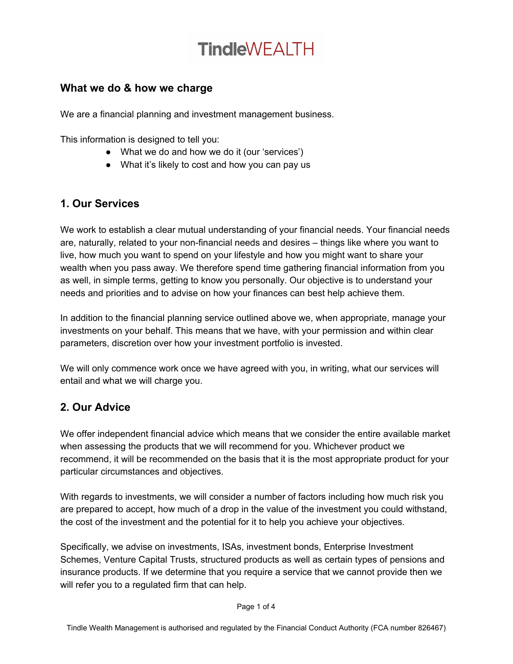# **TindleWFAITH**

### **What we do & how we charge**

We are a financial planning and investment management business.

This information is designed to tell you:

- What we do and how we do it (our 'services')
- What it's likely to cost and how you can pay us

## **1. Our Services**

We work to establish a clear mutual understanding of your financial needs. Your financial needs are, naturally, related to your non-financial needs and desires – things like where you want to live, how much you want to spend on your lifestyle and how you might want to share your wealth when you pass away. We therefore spend time gathering financial information from you as well, in simple terms, getting to know you personally. Our objective is to understand your needs and priorities and to advise on how your finances can best help achieve them.

In addition to the financial planning service outlined above we, when appropriate, manage your investments on your behalf. This means that we have, with your permission and within clear parameters, discretion over how your investment portfolio is invested.

We will only commence work once we have agreed with you, in writing, what our services will entail and what we will charge you.

## **2. Our Advice**

We offer independent financial advice which means that we consider the entire available market when assessing the products that we will recommend for you. Whichever product we recommend, it will be recommended on the basis that it is the most appropriate product for your particular circumstances and objectives.

With regards to investments, we will consider a number of factors including how much risk you are prepared to accept, how much of a drop in the value of the investment you could withstand, the cost of the investment and the potential for it to help you achieve your objectives.

Specifically, we advise on investments, ISAs, investment bonds, Enterprise Investment Schemes, Venture Capital Trusts, structured products as well as certain types of pensions and insurance products. If we determine that you require a service that we cannot provide then we will refer you to a regulated firm that can help.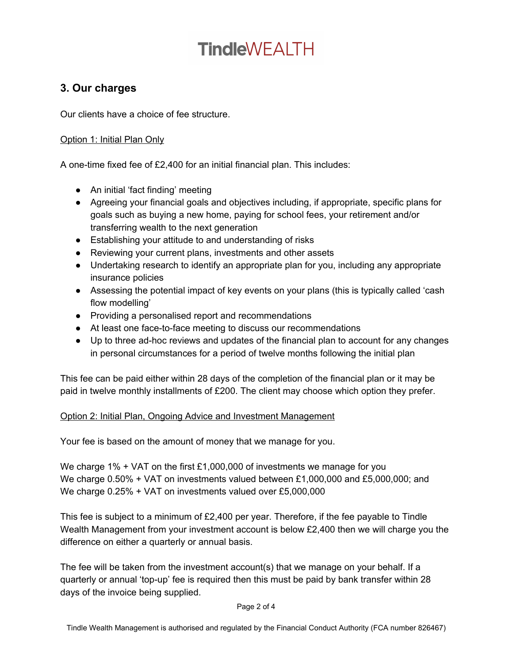# **Tindle**WFAITH

### **3. Our charges**

Our clients have a choice of fee structure.

#### Option 1: Initial Plan Only

A one-time fixed fee of £2,400 for an initial financial plan. This includes:

- An initial 'fact finding' meeting
- Agreeing your financial goals and objectives including, if appropriate, specific plans for goals such as buying a new home, paying for school fees, your retirement and/or transferring wealth to the next generation
- Establishing your attitude to and understanding of risks
- Reviewing your current plans, investments and other assets
- Undertaking research to identify an appropriate plan for you, including any appropriate insurance policies
- Assessing the potential impact of key events on your plans (this is typically called 'cash flow modelling'
- Providing a personalised report and recommendations
- At least one face-to-face meeting to discuss our recommendations
- Up to three ad-hoc reviews and updates of the financial plan to account for any changes in personal circumstances for a period of twelve months following the initial plan

This fee can be paid either within 28 days of the completion of the financial plan or it may be paid in twelve monthly installments of £200. The client may choose which option they prefer.

#### Option 2: Initial Plan, Ongoing Advice and Investment Management

Your fee is based on the amount of money that we manage for you.

We charge 1% + VAT on the first £1,000,000 of investments we manage for you We charge 0.50% + VAT on investments valued between £1,000,000 and £5,000,000; and We charge 0.25% + VAT on investments valued over £5,000,000

This fee is subject to a minimum of £2,400 per year. Therefore, if the fee payable to Tindle Wealth Management from your investment account is below £2,400 then we will charge you the difference on either a quarterly or annual basis.

The fee will be taken from the investment account(s) that we manage on your behalf. If a quarterly or annual 'top-up' fee is required then this must be paid by bank transfer within 28 days of the invoice being supplied.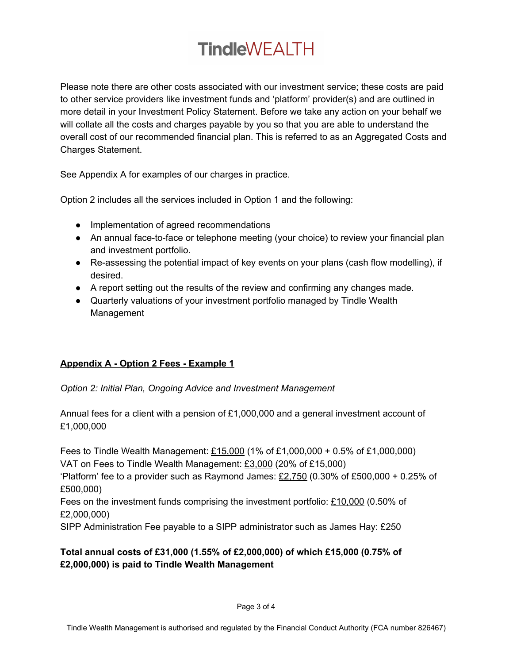# **TindleWEALTH**

Please note there are other costs associated with our investment service; these costs are paid to other service providers like investment funds and 'platform' provider(s) and are outlined in more detail in your Investment Policy Statement. Before we take any action on your behalf we will collate all the costs and charges payable by you so that you are able to understand the overall cost of our recommended financial plan. This is referred to as an Aggregated Costs and Charges Statement.

See Appendix A for examples of our charges in practice.

Option 2 includes all the services included in Option 1 and the following:

- Implementation of agreed recommendations
- An annual face-to-face or telephone meeting (your choice) to review your financial plan and investment portfolio.
- Re-assessing the potential impact of key events on your plans (cash flow modelling), if desired.
- A report setting out the results of the review and confirming any changes made.
- Quarterly valuations of your investment portfolio managed by Tindle Wealth Management

### **Appendix A - Option 2 Fees - Example 1**

*Option 2: Initial Plan, Ongoing Advice and Investment Management*

Annual fees for a client with a pension of £1,000,000 and a general investment account of £1,000,000

Fees to Tindle Wealth Management: £15,000 (1% of £1,000,000 + 0.5% of £1,000,000) VAT on Fees to Tindle Wealth Management: £3,000 (20% of £15,000) 'Platform' fee to a provider such as Raymond James:  $£2,750$  (0.30% of £500,000 + 0.25% of £500,000) Fees on the investment funds comprising the investment portfolio:  $£10,000$  (0.50% of £2,000,000)

SIPP Administration Fee payable to a SIPP administrator such as James Hay: £250

### **Total annual costs of £31,000 (1.55% of £2,000,000) of which £15,000 (0.75% of £2,000,000) is paid to Tindle Wealth Management**

Page 3 of 4